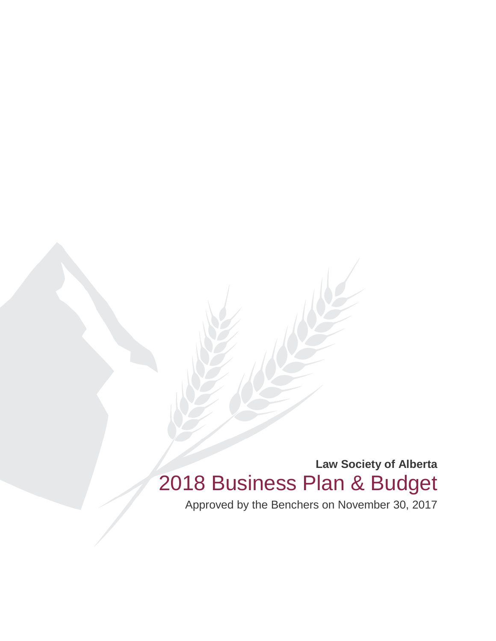**Law Society of Alberta** 2018 Business Plan & Budget

Approved by the Benchers on November 30, 2017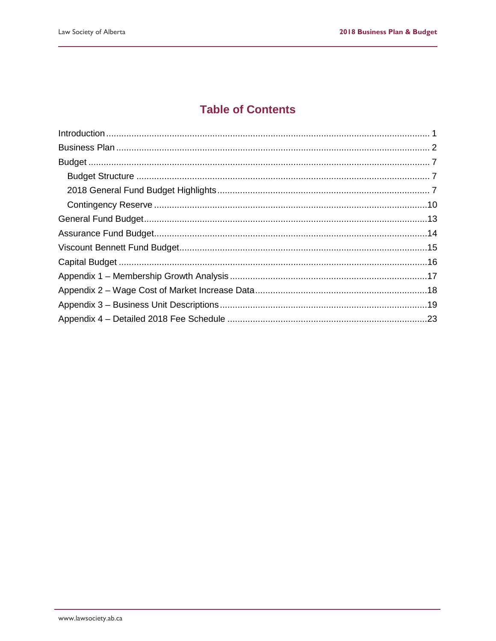# **Table of Contents**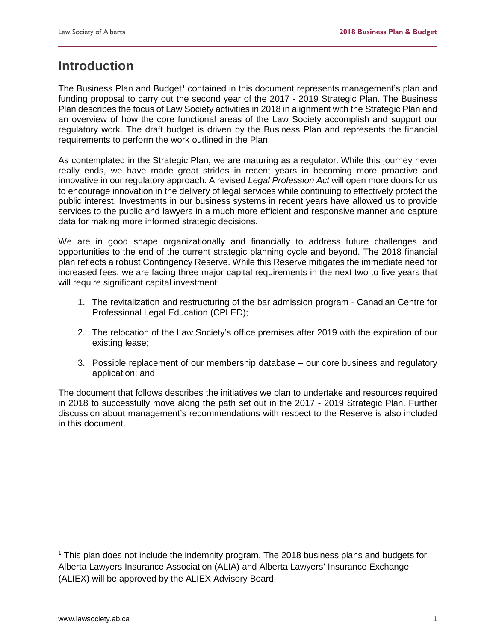# <span id="page-2-0"></span>**Introduction**

The Business Plan and Budget<sup>[1](#page-2-1)</sup> contained in this document represents management's plan and funding proposal to carry out the second year of the 2017 - 2019 Strategic Plan. The Business Plan describes the focus of Law Society activities in 2018 in alignment with the Strategic Plan and an overview of how the core functional areas of the Law Society accomplish and support our regulatory work. The draft budget is driven by the Business Plan and represents the financial requirements to perform the work outlined in the Plan.

As contemplated in the Strategic Plan, we are maturing as a regulator. While this journey never really ends, we have made great strides in recent years in becoming more proactive and innovative in our regulatory approach. A revised *Legal Profession Act* will open more doors for us to encourage innovation in the delivery of legal services while continuing to effectively protect the public interest. Investments in our business systems in recent years have allowed us to provide services to the public and lawyers in a much more efficient and responsive manner and capture data for making more informed strategic decisions.

We are in good shape organizationally and financially to address future challenges and opportunities to the end of the current strategic planning cycle and beyond. The 2018 financial plan reflects a robust Contingency Reserve. While this Reserve mitigates the immediate need for increased fees, we are facing three major capital requirements in the next two to five years that will require significant capital investment:

- 1. The revitalization and restructuring of the bar admission program Canadian Centre for Professional Legal Education (CPLED);
- 2. The relocation of the Law Society's office premises after 2019 with the expiration of our existing lease;
- 3. Possible replacement of our membership database our core business and regulatory application; and

The document that follows describes the initiatives we plan to undertake and resources required in 2018 to successfully move along the path set out in the 2017 - 2019 Strategic Plan. Further discussion about management's recommendations with respect to the Reserve is also included in this document.

<span id="page-2-1"></span> $1$  This plan does not include the indemnity program. The 2018 business plans and budgets for Alberta Lawyers Insurance Association (ALIA) and Alberta Lawyers' Insurance Exchange (ALIEX) will be approved by the ALIEX Advisory Board.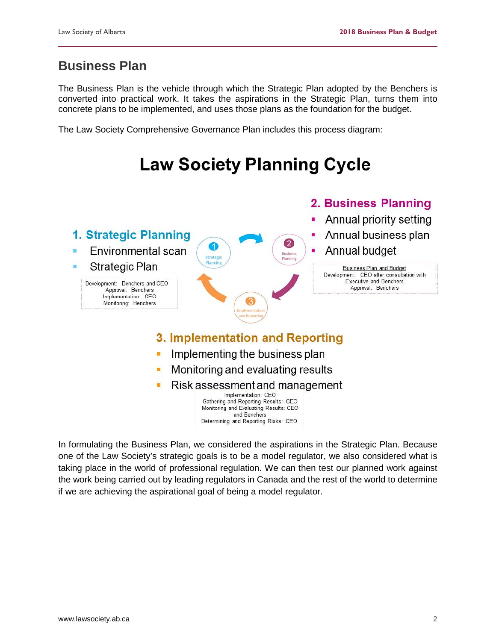# <span id="page-3-0"></span>**Business Plan**

The Business Plan is the vehicle through which the Strategic Plan adopted by the Benchers is converted into practical work. It takes the aspirations in the Strategic Plan, turns them into concrete plans to be implemented, and uses those plans as the foundation for the budget.

The Law Society Comprehensive Governance Plan includes this process diagram:

# **Law Society Planning Cycle**



In formulating the Business Plan, we considered the aspirations in the Strategic Plan. Because one of the Law Society's strategic goals is to be a model regulator, we also considered what is taking place in the world of professional regulation. We can then test our planned work against the work being carried out by leading regulators in Canada and the rest of the world to determine if we are achieving the aspirational goal of being a model regulator.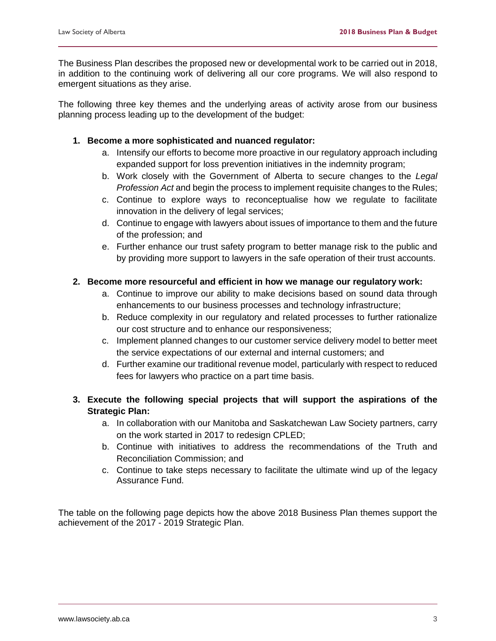The Business Plan describes the proposed new or developmental work to be carried out in 2018, in addition to the continuing work of delivering all our core programs. We will also respond to emergent situations as they arise.

The following three key themes and the underlying areas of activity arose from our business planning process leading up to the development of the budget:

### **1. Become a more sophisticated and nuanced regulator:**

- a. Intensify our efforts to become more proactive in our regulatory approach including expanded support for loss prevention initiatives in the indemnity program;
- b. Work closely with the Government of Alberta to secure changes to the *Legal Profession Act* and begin the process to implement requisite changes to the Rules;
- c. Continue to explore ways to reconceptualise how we regulate to facilitate innovation in the delivery of legal services;
- d. Continue to engage with lawyers about issues of importance to them and the future of the profession; and
- e. Further enhance our trust safety program to better manage risk to the public and by providing more support to lawyers in the safe operation of their trust accounts.

### **2. Become more resourceful and efficient in how we manage our regulatory work:**

- a. Continue to improve our ability to make decisions based on sound data through enhancements to our business processes and technology infrastructure;
- b. Reduce complexity in our regulatory and related processes to further rationalize our cost structure and to enhance our responsiveness;
- c. Implement planned changes to our customer service delivery model to better meet the service expectations of our external and internal customers; and
- d. Further examine our traditional revenue model, particularly with respect to reduced fees for lawyers who practice on a part time basis.
- **3. Execute the following special projects that will support the aspirations of the Strategic Plan:**
	- a. In collaboration with our Manitoba and Saskatchewan Law Society partners, carry on the work started in 2017 to redesign CPLED;
	- b. Continue with initiatives to address the recommendations of the Truth and Reconciliation Commission; and
	- c. Continue to take steps necessary to facilitate the ultimate wind up of the legacy Assurance Fund.

The table on the following page depicts how the above 2018 Business Plan themes support the achievement of the 2017 - 2019 Strategic Plan.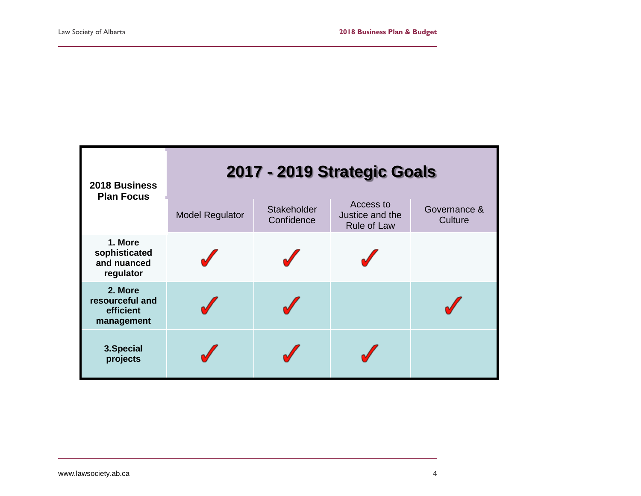| 2018 Business<br><b>Plan Focus</b>                    |                        |                           | 2017 - 2019 Strategic Goals                        |                         |
|-------------------------------------------------------|------------------------|---------------------------|----------------------------------------------------|-------------------------|
|                                                       | <b>Model Regulator</b> | Stakeholder<br>Confidence | Access to<br>Justice and the<br><b>Rule of Law</b> | Governance &<br>Culture |
| 1. More<br>sophisticated<br>and nuanced<br>regulator  |                        |                           |                                                    |                         |
| 2. More<br>resourceful and<br>efficient<br>management |                        |                           |                                                    |                         |
| 3. Special<br>projects                                |                        |                           |                                                    |                         |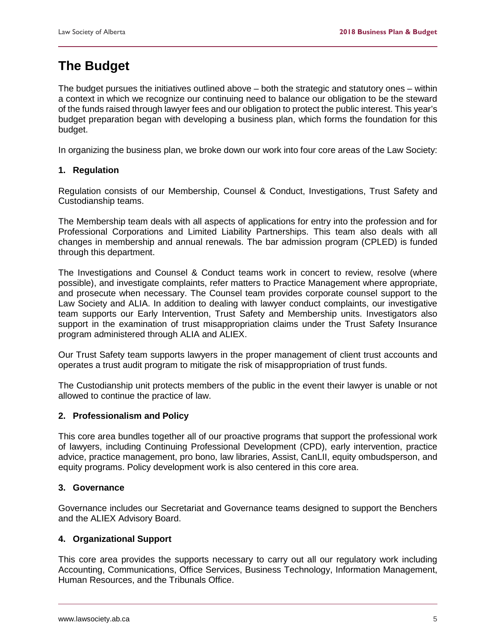# **The Budget**

The budget pursues the initiatives outlined above – both the strategic and statutory ones – within a context in which we recognize our continuing need to balance our obligation to be the steward of the funds raised through lawyer fees and our obligation to protect the public interest. This year's budget preparation began with developing a business plan, which forms the foundation for this budget.

In organizing the business plan, we broke down our work into four core areas of the Law Society:

### **1. Regulation**

Regulation consists of our Membership, Counsel & Conduct, Investigations, Trust Safety and Custodianship teams.

The Membership team deals with all aspects of applications for entry into the profession and for Professional Corporations and Limited Liability Partnerships. This team also deals with all changes in membership and annual renewals. The bar admission program (CPLED) is funded through this department.

The Investigations and Counsel & Conduct teams work in concert to review, resolve (where possible), and investigate complaints, refer matters to Practice Management where appropriate, and prosecute when necessary. The Counsel team provides corporate counsel support to the Law Society and ALIA. In addition to dealing with lawyer conduct complaints, our investigative team supports our Early Intervention, Trust Safety and Membership units. Investigators also support in the examination of trust misappropriation claims under the Trust Safety Insurance program administered through ALIA and ALIEX.

Our Trust Safety team supports lawyers in the proper management of client trust accounts and operates a trust audit program to mitigate the risk of misappropriation of trust funds.

The Custodianship unit protects members of the public in the event their lawyer is unable or not allowed to continue the practice of law.

### **2. Professionalism and Policy**

This core area bundles together all of our proactive programs that support the professional work of lawyers, including Continuing Professional Development (CPD), early intervention, practice advice, practice management, pro bono, law libraries, Assist, CanLII, equity ombudsperson, and equity programs. Policy development work is also centered in this core area.

#### **3. Governance**

Governance includes our Secretariat and Governance teams designed to support the Benchers and the ALIEX Advisory Board.

### **4. Organizational Support**

This core area provides the supports necessary to carry out all our regulatory work including Accounting, Communications, Office Services, Business Technology, Information Management, Human Resources, and the Tribunals Office.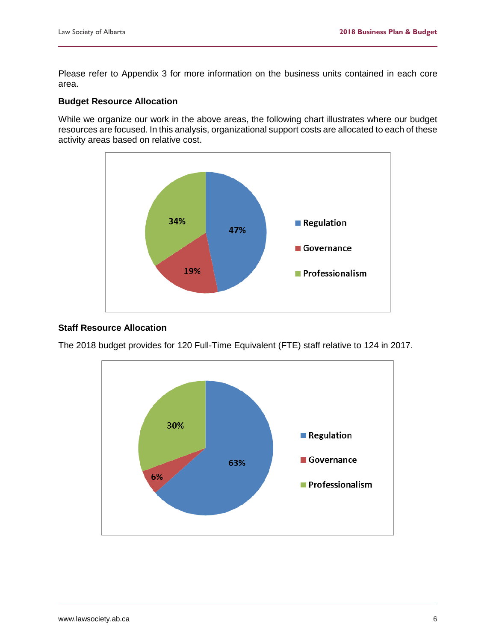Please refer to Appendix 3 for more information on the business units contained in each core area.

### **Budget Resource Allocation**

While we organize our work in the above areas, the following chart illustrates where our budget resources are focused. In this analysis, organizational support costs are allocated to each of these activity areas based on relative cost.



### **Staff Resource Allocation**

The 2018 budget provides for 120 Full-Time Equivalent (FTE) staff relative to 124 in 2017.

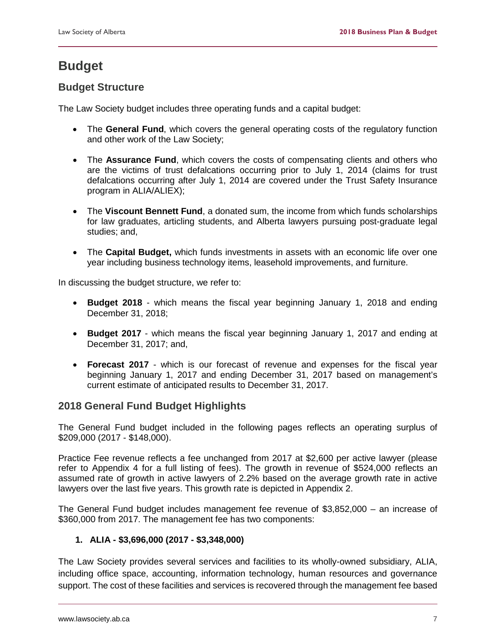# <span id="page-8-0"></span>**Budget**

# <span id="page-8-1"></span>**Budget Structure**

The Law Society budget includes three operating funds and a capital budget:

- The **General Fund**, which covers the general operating costs of the regulatory function and other work of the Law Society;
- The **Assurance Fund**, which covers the costs of compensating clients and others who are the victims of trust defalcations occurring prior to July 1, 2014 (claims for trust defalcations occurring after July 1, 2014 are covered under the Trust Safety Insurance program in ALIA/ALIEX);
- The **Viscount Bennett Fund**, a donated sum, the income from which funds scholarships for law graduates, articling students, and Alberta lawyers pursuing post-graduate legal studies; and,
- The **Capital Budget,** which funds investments in assets with an economic life over one year including business technology items, leasehold improvements, and furniture.

In discussing the budget structure, we refer to:

- **Budget 2018** which means the fiscal year beginning January 1, 2018 and ending December 31, 2018;
- **Budget 2017** which means the fiscal year beginning January 1, 2017 and ending at December 31, 2017; and,
- **Forecast 2017** which is our forecast of revenue and expenses for the fiscal year beginning January 1, 2017 and ending December 31, 2017 based on management's current estimate of anticipated results to December 31, 2017.

# <span id="page-8-2"></span>**2018 General Fund Budget Highlights**

The General Fund budget included in the following pages reflects an operating surplus of \$209,000 (2017 - \$148,000).

Practice Fee revenue reflects a fee unchanged from 2017 at \$2,600 per active lawyer (please refer to Appendix 4 for a full listing of fees). The growth in revenue of \$524,000 reflects an assumed rate of growth in active lawyers of 2.2% based on the average growth rate in active lawyers over the last five years. This growth rate is depicted in Appendix 2.

The General Fund budget includes management fee revenue of \$3,852,000 – an increase of \$360,000 from 2017. The management fee has two components:

# **1. ALIA - \$3,696,000 (2017 - \$3,348,000)**

The Law Society provides several services and facilities to its wholly-owned subsidiary, ALIA, including office space, accounting, information technology, human resources and governance support. The cost of these facilities and services is recovered through the management fee based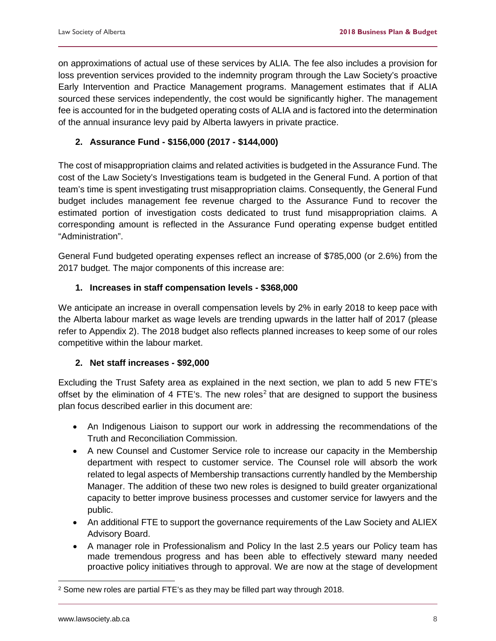on approximations of actual use of these services by ALIA. The fee also includes a provision for loss prevention services provided to the indemnity program through the Law Society's proactive Early Intervention and Practice Management programs. Management estimates that if ALIA sourced these services independently, the cost would be significantly higher. The management fee is accounted for in the budgeted operating costs of ALIA and is factored into the determination of the annual insurance levy paid by Alberta lawyers in private practice.

### **2. Assurance Fund - \$156,000 (2017 - \$144,000)**

The cost of misappropriation claims and related activities is budgeted in the Assurance Fund. The cost of the Law Society's Investigations team is budgeted in the General Fund. A portion of that team's time is spent investigating trust misappropriation claims. Consequently, the General Fund budget includes management fee revenue charged to the Assurance Fund to recover the estimated portion of investigation costs dedicated to trust fund misappropriation claims. A corresponding amount is reflected in the Assurance Fund operating expense budget entitled "Administration".

General Fund budgeted operating expenses reflect an increase of \$785,000 (or 2.6%) from the 2017 budget. The major components of this increase are:

### **1. Increases in staff compensation levels - \$368,000**

We anticipate an increase in overall compensation levels by 2% in early 2018 to keep pace with the Alberta labour market as wage levels are trending upwards in the latter half of 2017 (please refer to Appendix 2). The 2018 budget also reflects planned increases to keep some of our roles competitive within the labour market.

### **2. Net staff increases - \$92,000**

Excluding the Trust Safety area as explained in the next section, we plan to add 5 new FTE's offset by the elimination of 4 FTE's. The new roles<sup>[2](#page-9-0)</sup> that are designed to support the business plan focus described earlier in this document are:

- An Indigenous Liaison to support our work in addressing the recommendations of the Truth and Reconciliation Commission.
- A new Counsel and Customer Service role to increase our capacity in the Membership department with respect to customer service. The Counsel role will absorb the work related to legal aspects of Membership transactions currently handled by the Membership Manager. The addition of these two new roles is designed to build greater organizational capacity to better improve business processes and customer service for lawyers and the public.
- An additional FTE to support the governance requirements of the Law Society and ALIEX Advisory Board.
- A manager role in Professionalism and Policy In the last 2.5 years our Policy team has made tremendous progress and has been able to effectively steward many needed proactive policy initiatives through to approval. We are now at the stage of development

<span id="page-9-0"></span> $2$  Some new roles are partial FTE's as they may be filled part way through 2018.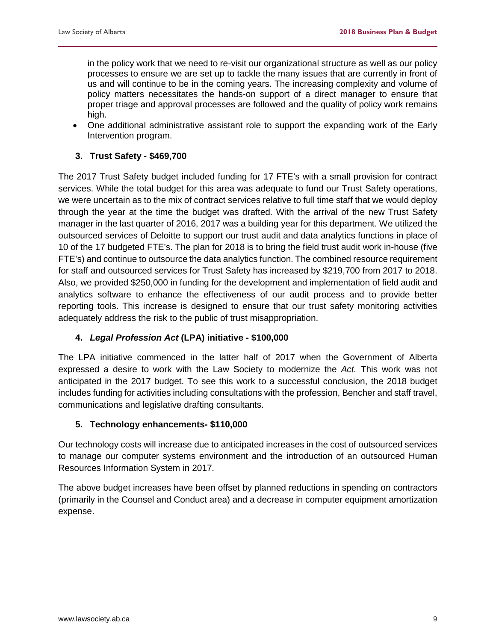in the policy work that we need to re-visit our organizational structure as well as our policy processes to ensure we are set up to tackle the many issues that are currently in front of us and will continue to be in the coming years. The increasing complexity and volume of policy matters necessitates the hands-on support of a direct manager to ensure that proper triage and approval processes are followed and the quality of policy work remains high.

• One additional administrative assistant role to support the expanding work of the Early Intervention program.

### **3. Trust Safety - \$469,700**

The 2017 Trust Safety budget included funding for 17 FTE's with a small provision for contract services. While the total budget for this area was adequate to fund our Trust Safety operations, we were uncertain as to the mix of contract services relative to full time staff that we would deploy through the year at the time the budget was drafted. With the arrival of the new Trust Safety manager in the last quarter of 2016, 2017 was a building year for this department. We utilized the outsourced services of Deloitte to support our trust audit and data analytics functions in place of 10 of the 17 budgeted FTE's. The plan for 2018 is to bring the field trust audit work in-house (five FTE's) and continue to outsource the data analytics function. The combined resource requirement for staff and outsourced services for Trust Safety has increased by \$219,700 from 2017 to 2018. Also, we provided \$250,000 in funding for the development and implementation of field audit and analytics software to enhance the effectiveness of our audit process and to provide better reporting tools. This increase is designed to ensure that our trust safety monitoring activities adequately address the risk to the public of trust misappropriation.

# **4.** *Legal Profession Act* **(LPA) initiative - \$100,000**

The LPA initiative commenced in the latter half of 2017 when the Government of Alberta expressed a desire to work with the Law Society to modernize the *Act.* This work was not anticipated in the 2017 budget. To see this work to a successful conclusion, the 2018 budget includes funding for activities including consultations with the profession, Bencher and staff travel, communications and legislative drafting consultants.

### **5. Technology enhancements- \$110,000**

Our technology costs will increase due to anticipated increases in the cost of outsourced services to manage our computer systems environment and the introduction of an outsourced Human Resources Information System in 2017.

The above budget increases have been offset by planned reductions in spending on contractors (primarily in the Counsel and Conduct area) and a decrease in computer equipment amortization expense.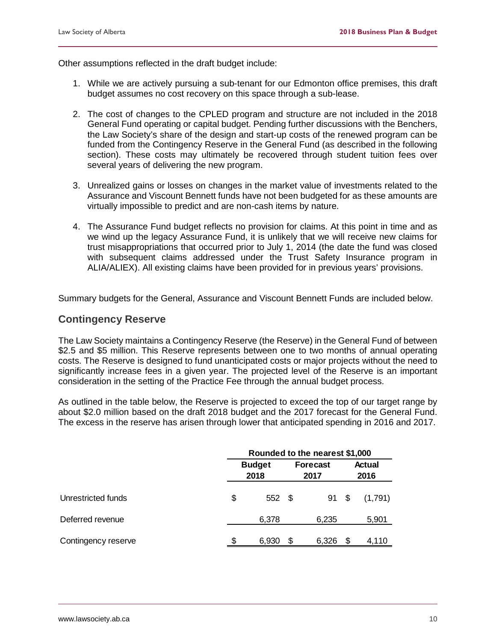Other assumptions reflected in the draft budget include:

- 1. While we are actively pursuing a sub-tenant for our Edmonton office premises, this draft budget assumes no cost recovery on this space through a sub-lease.
- 2. The cost of changes to the CPLED program and structure are not included in the 2018 General Fund operating or capital budget. Pending further discussions with the Benchers, the Law Society's share of the design and start-up costs of the renewed program can be funded from the Contingency Reserve in the General Fund (as described in the following section). These costs may ultimately be recovered through student tuition fees over several years of delivering the new program.
- 3. Unrealized gains or losses on changes in the market value of investments related to the Assurance and Viscount Bennett funds have not been budgeted for as these amounts are virtually impossible to predict and are non-cash items by nature.
- 4. The Assurance Fund budget reflects no provision for claims. At this point in time and as we wind up the legacy Assurance Fund, it is unlikely that we will receive new claims for trust misappropriations that occurred prior to July 1, 2014 (the date the fund was closed with subsequent claims addressed under the Trust Safety Insurance program in ALIA/ALIEX). All existing claims have been provided for in previous years' provisions.

Summary budgets for the General, Assurance and Viscount Bennett Funds are included below.

### <span id="page-11-0"></span>**Contingency Reserve**

The Law Society maintains a Contingency Reserve (the Reserve) in the General Fund of between \$2.5 and \$5 million. This Reserve represents between one to two months of annual operating costs. The Reserve is designed to fund unanticipated costs or major projects without the need to significantly increase fees in a given year. The projected level of the Reserve is an important consideration in the setting of the Practice Fee through the annual budget process.

As outlined in the table below, the Reserve is projected to exceed the top of our target range by about \$2.0 million based on the draft 2018 budget and the 2017 forecast for the General Fund. The excess in the reserve has arisen through lower that anticipated spending in 2016 and 2017.

|                     | Rounded to the nearest \$1,000 |                       |    |                         |     |                       |  |  |
|---------------------|--------------------------------|-----------------------|----|-------------------------|-----|-----------------------|--|--|
|                     |                                | <b>Budget</b><br>2018 |    | <b>Forecast</b><br>2017 |     | <b>Actual</b><br>2016 |  |  |
| Unrestricted funds  | \$                             | 552 \$                |    | 91                      | \$  | (1,791)               |  |  |
| Deferred revenue    |                                | 6,378                 |    | 6,235                   |     | 5,901                 |  |  |
| Contingency reserve |                                | 6,930                 | \$ | 6,326                   | \$. | 4,110                 |  |  |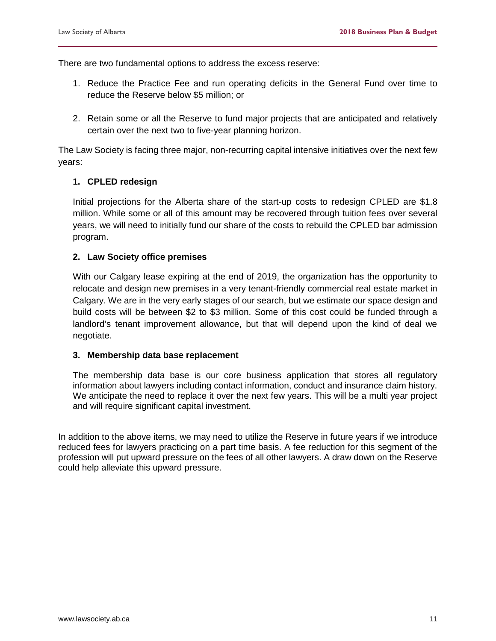There are two fundamental options to address the excess reserve:

- 1. Reduce the Practice Fee and run operating deficits in the General Fund over time to reduce the Reserve below \$5 million; or
- 2. Retain some or all the Reserve to fund major projects that are anticipated and relatively certain over the next two to five-year planning horizon.

The Law Society is facing three major, non-recurring capital intensive initiatives over the next few years:

### **1. CPLED redesign**

Initial projections for the Alberta share of the start-up costs to redesign CPLED are \$1.8 million. While some or all of this amount may be recovered through tuition fees over several years, we will need to initially fund our share of the costs to rebuild the CPLED bar admission program.

### **2. Law Society office premises**

With our Calgary lease expiring at the end of 2019, the organization has the opportunity to relocate and design new premises in a very tenant-friendly commercial real estate market in Calgary. We are in the very early stages of our search, but we estimate our space design and build costs will be between \$2 to \$3 million. Some of this cost could be funded through a landlord's tenant improvement allowance, but that will depend upon the kind of deal we negotiate.

#### **3. Membership data base replacement**

The membership data base is our core business application that stores all regulatory information about lawyers including contact information, conduct and insurance claim history. We anticipate the need to replace it over the next few years. This will be a multi year project and will require significant capital investment.

In addition to the above items, we may need to utilize the Reserve in future years if we introduce reduced fees for lawyers practicing on a part time basis. A fee reduction for this segment of the profession will put upward pressure on the fees of all other lawyers. A draw down on the Reserve could help alleviate this upward pressure.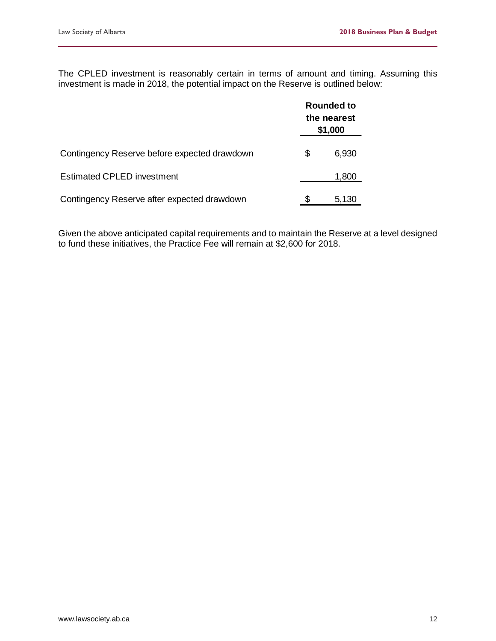The CPLED investment is reasonably certain in terms of amount and timing. Assuming this investment is made in 2018, the potential impact on the Reserve is outlined below:

|                                              | <b>Rounded to</b><br>the nearest<br>\$1,000 |       |  |  |  |  |
|----------------------------------------------|---------------------------------------------|-------|--|--|--|--|
| Contingency Reserve before expected drawdown | S                                           | 6,930 |  |  |  |  |
| <b>Estimated CPLED investment</b>            |                                             | 1,800 |  |  |  |  |
| Contingency Reserve after expected drawdown  | Ж,                                          | 5,130 |  |  |  |  |

Given the above anticipated capital requirements and to maintain the Reserve at a level designed to fund these initiatives, the Practice Fee will remain at \$2,600 for 2018.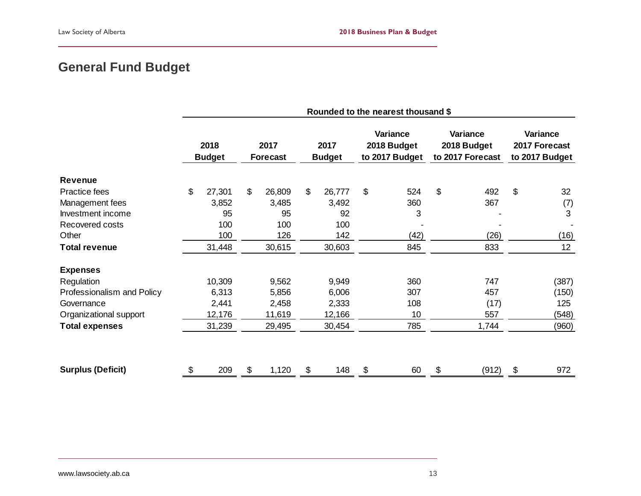# **General Fund Budget**

<span id="page-14-0"></span>

|                            | Rounded to the nearest thousand \$ |                       |    |                         |    |                       |    |                                           |    |                                             |                                             |
|----------------------------|------------------------------------|-----------------------|----|-------------------------|----|-----------------------|----|-------------------------------------------|----|---------------------------------------------|---------------------------------------------|
|                            |                                    | 2018<br><b>Budget</b> |    | 2017<br><b>Forecast</b> |    | 2017<br><b>Budget</b> |    | Variance<br>2018 Budget<br>to 2017 Budget |    | Variance<br>2018 Budget<br>to 2017 Forecast | Variance<br>2017 Forecast<br>to 2017 Budget |
| <b>Revenue</b>             |                                    |                       |    |                         |    |                       |    |                                           |    |                                             |                                             |
| Practice fees              | \$                                 | 27,301                | \$ | 26,809                  | \$ | 26,777                | \$ | 524                                       | \$ | 492                                         | \$<br>32                                    |
| Management fees            |                                    | 3,852                 |    | 3,485                   |    | 3,492                 |    | 360                                       |    | 367                                         | (7)                                         |
| Investment income          |                                    | 95                    |    | 95                      |    | 92                    |    | 3                                         |    |                                             | 3                                           |
| Recovered costs            |                                    | 100                   |    | 100                     |    | 100                   |    |                                           |    |                                             |                                             |
| Other                      |                                    | 100                   |    | 126                     |    | 142                   |    | (42)                                      |    | (26)                                        | (16)                                        |
| <b>Total revenue</b>       |                                    | 31,448                |    | 30,615                  |    | 30,603                |    | 845                                       |    | 833                                         | 12                                          |
| <b>Expenses</b>            |                                    |                       |    |                         |    |                       |    |                                           |    |                                             |                                             |
| Regulation                 |                                    | 10,309                |    | 9,562                   |    | 9,949                 |    | 360                                       |    | 747                                         | (387)                                       |
| Professionalism and Policy |                                    | 6,313                 |    | 5,856                   |    | 6,006                 |    | 307                                       |    | 457                                         | (150)                                       |
| Governance                 |                                    | 2,441                 |    | 2,458                   |    | 2,333                 |    | 108                                       |    | (17)                                        | 125                                         |
| Organizational support     |                                    | 12,176                |    | 11,619                  |    | 12,166                |    | 10                                        |    | 557                                         | (548)                                       |
| <b>Total expenses</b>      |                                    | 31,239                |    | 29,495                  |    | 30,454                |    | 785                                       |    | 1,744                                       | (960)                                       |
| <b>Surplus (Deficit)</b>   | \$                                 | 209                   | \$ | 1,120                   | \$ | 148                   | \$ | 60                                        | \$ | (912)                                       | \$<br>972                                   |
|                            |                                    |                       |    |                         |    |                       |    |                                           |    |                                             |                                             |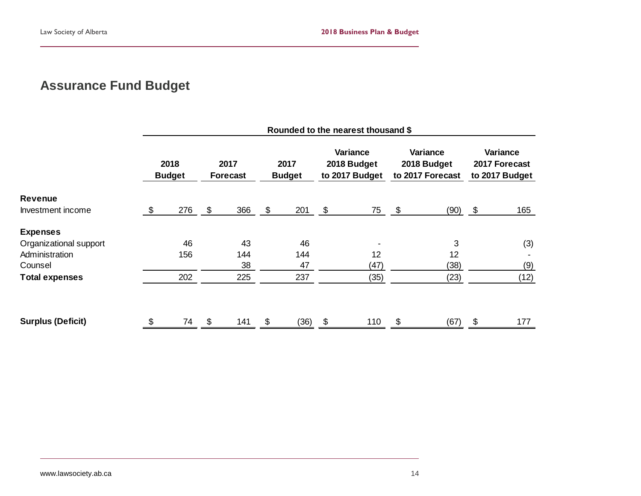# **Assurance Fund Budget**

<span id="page-15-0"></span>

|                          | Rounded to the nearest thousand \$ |                       |            |                         |    |                       |    |                                           |    |                                                    |    |                                             |
|--------------------------|------------------------------------|-----------------------|------------|-------------------------|----|-----------------------|----|-------------------------------------------|----|----------------------------------------------------|----|---------------------------------------------|
|                          |                                    | 2018<br><b>Budget</b> |            | 2017<br><b>Forecast</b> |    | 2017<br><b>Budget</b> |    | Variance<br>2018 Budget<br>to 2017 Budget |    | <b>Variance</b><br>2018 Budget<br>to 2017 Forecast |    | Variance<br>2017 Forecast<br>to 2017 Budget |
| <b>Revenue</b>           |                                    |                       |            |                         |    |                       |    |                                           |    |                                                    |    |                                             |
| Investment income        | \$                                 | 276                   | $\sqrt{3}$ | 366                     | \$ | 201                   | \$ | 75 \$                                     |    | $(90)$ \$                                          |    | 165                                         |
| <b>Expenses</b>          |                                    |                       |            |                         |    |                       |    |                                           |    |                                                    |    |                                             |
| Organizational support   |                                    | 46                    |            | 43                      |    | 46                    |    |                                           |    | 3                                                  |    | (3)                                         |
| Administration           |                                    | 156                   |            | 144                     |    | 144                   |    | 12                                        |    | 12                                                 |    |                                             |
| Counsel                  |                                    |                       |            | 38                      |    | 47                    |    | (47)                                      |    | (38)                                               |    | (9)                                         |
| <b>Total expenses</b>    |                                    | 202                   |            | 225                     |    | 237                   |    | (35)                                      |    | (23)                                               |    | (12)                                        |
| <b>Surplus (Deficit)</b> |                                    | 74                    | \$         | 141                     | \$ | (36)                  | \$ | 110                                       | \$ | (67)                                               | \$ | 177                                         |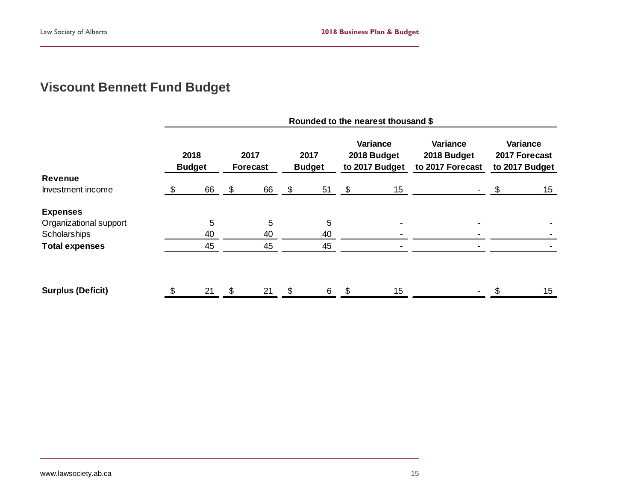# **Viscount Bennett Fund Budget**

<span id="page-16-0"></span>

|                          | Rounded to the nearest thousand \$ |                       |    |                         |    |                       |    |                                           |                                             |    |                                             |
|--------------------------|------------------------------------|-----------------------|----|-------------------------|----|-----------------------|----|-------------------------------------------|---------------------------------------------|----|---------------------------------------------|
|                          |                                    | 2018<br><b>Budget</b> |    | 2017<br><b>Forecast</b> |    | 2017<br><b>Budget</b> |    | Variance<br>2018 Budget<br>to 2017 Budget | Variance<br>2018 Budget<br>to 2017 Forecast |    | Variance<br>2017 Forecast<br>to 2017 Budget |
| Revenue                  |                                    |                       |    |                         |    |                       |    |                                           |                                             |    |                                             |
| Investment income        | - \$                               | 66                    | \$ | 66                      | \$ | 51                    | \$ | 15 <sub>15</sub>                          |                                             | \$ | 15 <sub>15</sub>                            |
| <b>Expenses</b>          |                                    |                       |    |                         |    |                       |    |                                           |                                             |    |                                             |
| Organizational support   |                                    | 5                     |    | 5                       |    | 5                     |    |                                           |                                             |    |                                             |
| Scholarships             |                                    | 40                    |    | 40                      |    | 40                    |    |                                           |                                             |    |                                             |
| <b>Total expenses</b>    |                                    | 45                    |    | 45                      |    | 45                    |    |                                           |                                             |    |                                             |
|                          |                                    |                       |    |                         |    |                       |    |                                           |                                             |    |                                             |
| <b>Surplus (Deficit)</b> |                                    | 21                    | \$ | 21                      | \$ | 6                     |    | 15                                        |                                             |    | 15                                          |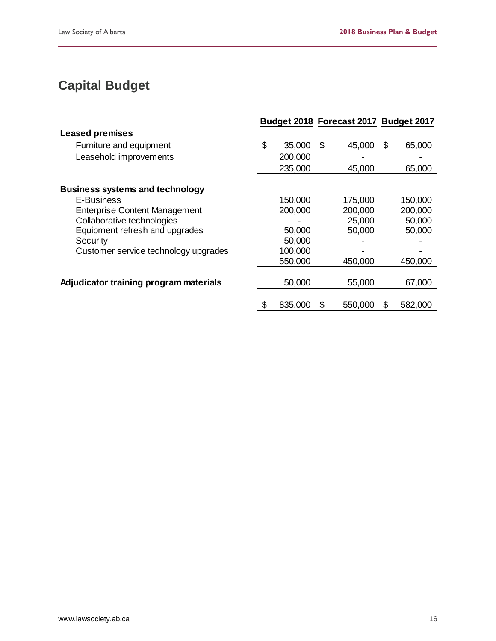# <span id="page-17-0"></span>**Capital Budget**

|                                        |               | Budget 2018 Forecast 2017 Budget 2017 |     |         |
|----------------------------------------|---------------|---------------------------------------|-----|---------|
| <b>Leased premises</b>                 |               |                                       |     |         |
| Furniture and equipment                | \$<br>35,000  | \$<br>45,000                          | \$. | 65,000  |
| Leasehold improvements                 | 200,000       |                                       |     |         |
|                                        | 235,000       | 45,000                                |     | 65,000  |
| <b>Business systems and technology</b> |               |                                       |     |         |
| E-Business                             | 150,000       | 175,000                               |     | 150,000 |
| <b>Enterprise Content Management</b>   | 200,000       | 200,000                               |     | 200,000 |
| Collaborative technologies             |               | 25,000                                |     | 50,000  |
| Equipment refresh and upgrades         | 50,000        | 50,000                                |     | 50,000  |
| Security                               | 50,000        |                                       |     |         |
| Customer service technology upgrades   | 100,000       |                                       |     |         |
|                                        | 550,000       | 450,000                               |     | 450,000 |
|                                        |               |                                       |     |         |
| Adjudicator training program materials | 50,000        | 55,000                                |     | 67,000  |
|                                        |               |                                       |     |         |
|                                        | \$<br>835,000 | \$<br>550,000                         | \$  | 582,000 |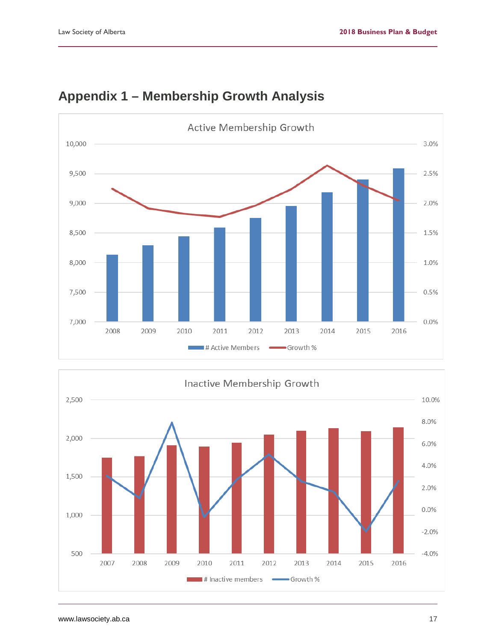

# <span id="page-18-0"></span>**Appendix 1 – Membership Growth Analysis**

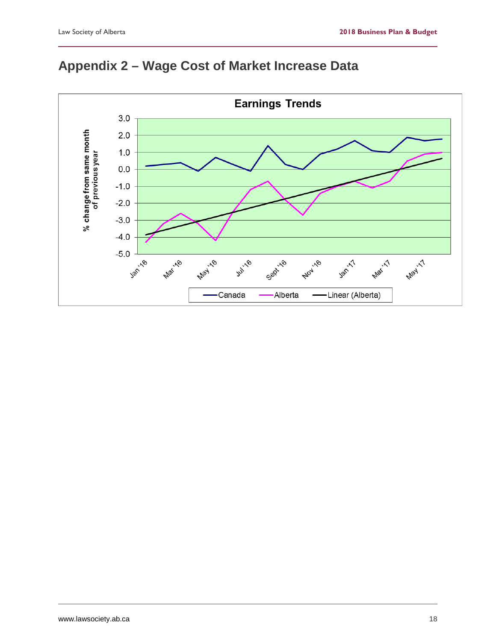# <span id="page-19-0"></span>**Appendix 2 – Wage Cost of Market Increase Data**

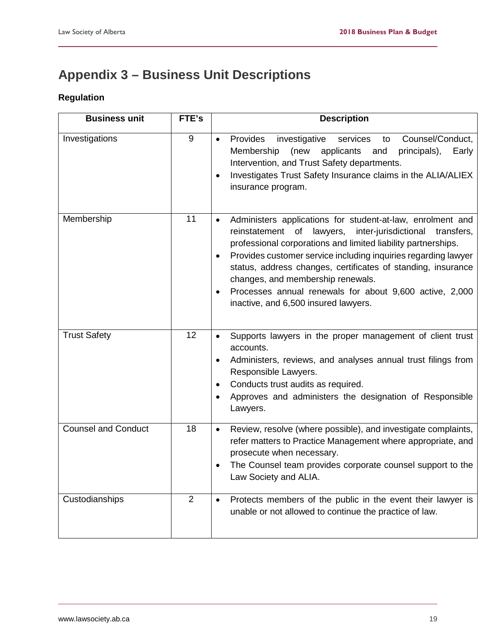# <span id="page-20-0"></span>**Appendix 3 – Business Unit Descriptions**

# **Regulation**

| <b>Business unit</b>       | FTE's | <b>Description</b>                                                                                                                                                                                                                                                                                                                                                                                                                                                                                                 |
|----------------------------|-------|--------------------------------------------------------------------------------------------------------------------------------------------------------------------------------------------------------------------------------------------------------------------------------------------------------------------------------------------------------------------------------------------------------------------------------------------------------------------------------------------------------------------|
| Investigations             | 9     | Provides<br>investigative<br>Counsel/Conduct,<br>services<br>to<br>$\bullet$<br>Membership<br>(new<br>applicants and<br>principals),<br>Early<br>Intervention, and Trust Safety departments.<br>Investigates Trust Safety Insurance claims in the ALIA/ALIEX<br>$\bullet$<br>insurance program.                                                                                                                                                                                                                    |
| Membership                 | 11    | Administers applications for student-at-law, enrolment and<br>$\bullet$<br>reinstatement of<br>lawyers,<br>inter-jurisdictional<br>transfers,<br>professional corporations and limited liability partnerships.<br>Provides customer service including inquiries regarding lawyer<br>$\bullet$<br>status, address changes, certificates of standing, insurance<br>changes, and membership renewals.<br>Processes annual renewals for about 9,600 active, 2,000<br>$\bullet$<br>inactive, and 6,500 insured lawyers. |
| <b>Trust Safety</b>        | 12    | Supports lawyers in the proper management of client trust<br>$\bullet$<br>accounts.<br>Administers, reviews, and analyses annual trust filings from<br>$\bullet$<br>Responsible Lawyers.<br>Conducts trust audits as required.<br>$\bullet$<br>Approves and administers the designation of Responsible<br>$\bullet$<br>Lawyers.                                                                                                                                                                                    |
| <b>Counsel and Conduct</b> | 18    | Review, resolve (where possible), and investigate complaints,<br>$\bullet$<br>refer matters to Practice Management where appropriate, and<br>prosecute when necessary.<br>The Counsel team provides corporate counsel support to the<br>$\bullet$<br>Law Society and ALIA.                                                                                                                                                                                                                                         |
| Custodianships             | 2     | Protects members of the public in the event their lawyer is<br>$\bullet$<br>unable or not allowed to continue the practice of law.                                                                                                                                                                                                                                                                                                                                                                                 |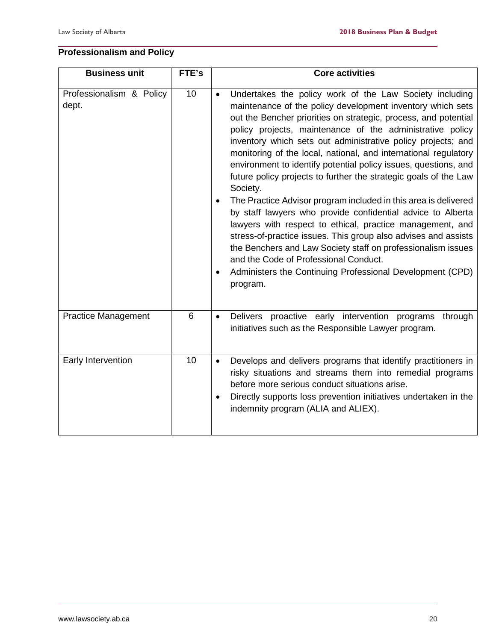# **Professionalism and Policy**

| <b>Business unit</b>              | FTE's | <b>Core activities</b>                                                                                                                                                                                                                                                                                                                                                                                                                                                                                                                                                                                                                                                                                                                                                                                                                                                                                                                                                                                                                |
|-----------------------------------|-------|---------------------------------------------------------------------------------------------------------------------------------------------------------------------------------------------------------------------------------------------------------------------------------------------------------------------------------------------------------------------------------------------------------------------------------------------------------------------------------------------------------------------------------------------------------------------------------------------------------------------------------------------------------------------------------------------------------------------------------------------------------------------------------------------------------------------------------------------------------------------------------------------------------------------------------------------------------------------------------------------------------------------------------------|
| Professionalism & Policy<br>dept. | 10    | Undertakes the policy work of the Law Society including<br>$\bullet$<br>maintenance of the policy development inventory which sets<br>out the Bencher priorities on strategic, process, and potential<br>policy projects, maintenance of the administrative policy<br>inventory which sets out administrative policy projects; and<br>monitoring of the local, national, and international regulatory<br>environment to identify potential policy issues, questions, and<br>future policy projects to further the strategic goals of the Law<br>Society.<br>The Practice Advisor program included in this area is delivered<br>$\bullet$<br>by staff lawyers who provide confidential advice to Alberta<br>lawyers with respect to ethical, practice management, and<br>stress-of-practice issues. This group also advises and assists<br>the Benchers and Law Society staff on professionalism issues<br>and the Code of Professional Conduct.<br>Administers the Continuing Professional Development (CPD)<br>$\bullet$<br>program. |
| <b>Practice Management</b>        | 6     | Delivers proactive early intervention programs<br>through<br>$\bullet$<br>initiatives such as the Responsible Lawyer program.                                                                                                                                                                                                                                                                                                                                                                                                                                                                                                                                                                                                                                                                                                                                                                                                                                                                                                         |
| Early Intervention                | 10    | Develops and delivers programs that identify practitioners in<br>$\bullet$<br>risky situations and streams them into remedial programs<br>before more serious conduct situations arise.<br>Directly supports loss prevention initiatives undertaken in the<br>$\bullet$<br>indemnity program (ALIA and ALIEX).                                                                                                                                                                                                                                                                                                                                                                                                                                                                                                                                                                                                                                                                                                                        |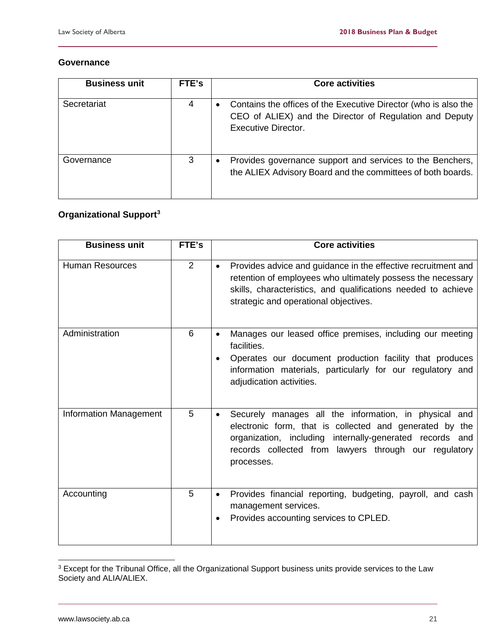#### **Governance**

| <b>Business unit</b> | FTE's | <b>Core activities</b>                                                                                                                                         |
|----------------------|-------|----------------------------------------------------------------------------------------------------------------------------------------------------------------|
| Secretariat          | 4     | Contains the offices of the Executive Director (who is also the<br>$\bullet$<br>CEO of ALIEX) and the Director of Regulation and Deputy<br>Executive Director. |
| Governance           | 3     | Provides governance support and services to the Benchers,<br>$\bullet$<br>the ALIEX Advisory Board and the committees of both boards.                          |

# **Organizational Support[3](#page-22-0)**

| <b>Business unit</b>          | FTE's          | <b>Core activities</b>                                                                                                                                                                                                                                           |
|-------------------------------|----------------|------------------------------------------------------------------------------------------------------------------------------------------------------------------------------------------------------------------------------------------------------------------|
| <b>Human Resources</b>        | $\overline{2}$ | Provides advice and guidance in the effective recruitment and<br>$\bullet$<br>retention of employees who ultimately possess the necessary<br>skills, characteristics, and qualifications needed to achieve<br>strategic and operational objectives.              |
| Administration                | 6              | Manages our leased office premises, including our meeting<br>$\bullet$<br>facilities.<br>Operates our document production facility that produces<br>$\bullet$<br>information materials, particularly for our regulatory and<br>adjudication activities.          |
| <b>Information Management</b> | 5              | Securely manages all the information, in physical and<br>$\bullet$<br>electronic form, that is collected and generated by the<br>organization, including internally-generated records and<br>records collected from lawyers through our regulatory<br>processes. |
| Accounting                    | 5              | Provides financial reporting, budgeting, payroll, and cash<br>$\bullet$<br>management services.<br>Provides accounting services to CPLED.<br>$\bullet$                                                                                                           |

<span id="page-22-0"></span> <sup>3</sup> Except for the Tribunal Office, all the Organizational Support business units provide services to the Law Society and ALIA/ALIEX.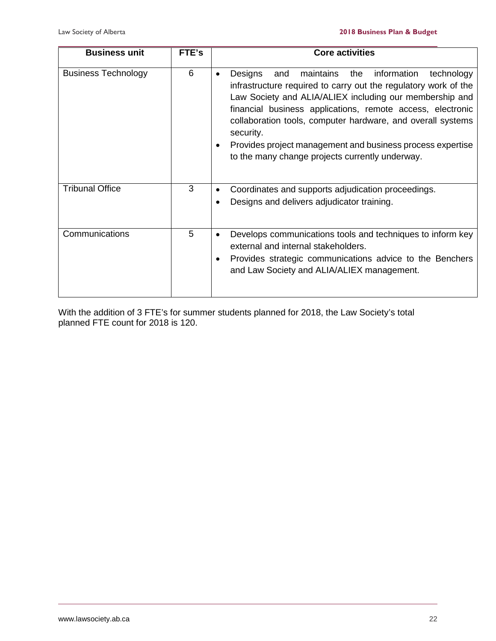| <b>Business unit</b>       | FTE's | <b>Core activities</b>                                                                                                                                                                                                                                                                                                                                                                                                                                                             |  |  |  |
|----------------------------|-------|------------------------------------------------------------------------------------------------------------------------------------------------------------------------------------------------------------------------------------------------------------------------------------------------------------------------------------------------------------------------------------------------------------------------------------------------------------------------------------|--|--|--|
| <b>Business Technology</b> | 6     | information<br>Designs<br>maintains<br>and<br>the<br>technology<br>$\bullet$<br>infrastructure required to carry out the regulatory work of the<br>Law Society and ALIA/ALIEX including our membership and<br>financial business applications, remote access, electronic<br>collaboration tools, computer hardware, and overall systems<br>security.<br>Provides project management and business process expertise<br>$\bullet$<br>to the many change projects currently underway. |  |  |  |
| <b>Tribunal Office</b>     | 3     | Coordinates and supports adjudication proceedings.<br>٠<br>Designs and delivers adjudicator training.<br>$\bullet$                                                                                                                                                                                                                                                                                                                                                                 |  |  |  |
| Communications             | 5     | Develops communications tools and techniques to inform key<br>external and internal stakeholders.<br>Provides strategic communications advice to the Benchers<br>and Law Society and ALIA/ALIEX management.                                                                                                                                                                                                                                                                        |  |  |  |

With the addition of 3 FTE's for summer students planned for 2018, the Law Society's total planned FTE count for 2018 is 120.